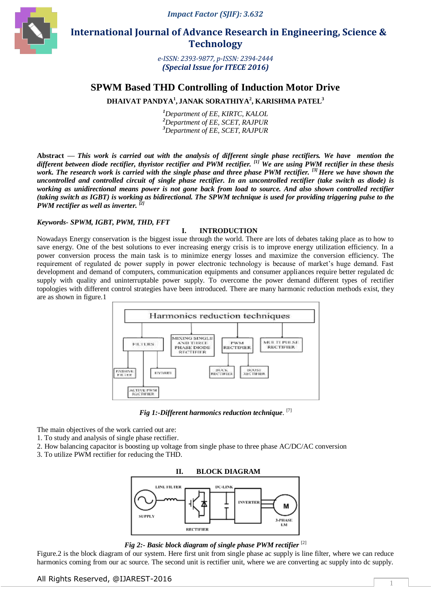*Impact Factor (SJIF): 3.632*



 **International Journal of Advance Research in Engineering, Science & Technology** 

> *e-ISSN: 2393-9877, p-ISSN: 2394-2444 (Special Issue for ITECE 2016)*

# **SPWM Based THD Controlling of Induction Motor Drive**

**DHAIVAT PANDYA<sup>1</sup> , JANAK SORATHIYA<sup>2</sup> , KARISHMA PATEL<sup>3</sup>**

*<sup>1</sup>Department of EE, KIRTC, KALOL <sup>2</sup>Department of EE, SCET, RAJPUR <sup>3</sup>Department of EE, SCET, RAJPUR*

**Abstract** *— This work is carried out with the analysis of different single phase rectifiers. We have mention the different between diode rectifier, thyristor rectifier and PWM rectifier. [1] We are using PWM rectifier in these thesis work. The research work is carried with the single phase and three phase PWM rectifier. [3] Here we have shown the uncontrolled and controlled circuit of single phase rectifier. In an uncontrolled rectifier (take switch as diode) is working as unidirectional means power is not gone back from load to source. And also shown controlled rectifier (taking switch as IGBT) is working as bidirectional. The SPWM technique is used for providing triggering pulse to the PWM rectifier as well as inverter. [2]*

## *Keywords- SPWM, IGBT, PWM, THD, FFT*

## **I. INTRODUCTION**

Nowadays Energy conservation is the biggest issue through the world. There are lots of debates taking place as to how to save energy. One of the best solutions to ever increasing energy crisis is to improve energy utilization efficiency. In a power conversion process the main task is to minimize energy losses and maximize the conversion efficiency. The requirement of regulated dc power supply in power electronic technology is because of market's huge demand. Fast development and demand of computers, communication equipments and consumer appliances require better regulated dc supply with quality and uninterruptable power supply. To overcome the power demand different types of rectifier topologies with different control strategies have been introduced. There are many harmonic reduction methods exist, they are as shown in figure.1



*Fig 1:-Different harmonics reduction technique*. [7]

The main objectives of the work carried out are:

- 1. To study and analysis of single phase rectifier.
- 2. How balancing capacitor is boosting up voltage from single phase to three phase AC/DC/AC conversion
- 3. To utilize PWM rectifier for reducing the THD.



*Fig 2:- Basic block diagram of single phase PWM rectifier* [2]

Figure.2 is the block diagram of our system. Here first unit from single phase ac supply is line filter, where we can reduce harmonics coming from our ac source. The second unit is rectifier unit, where we are converting ac supply into dc supply.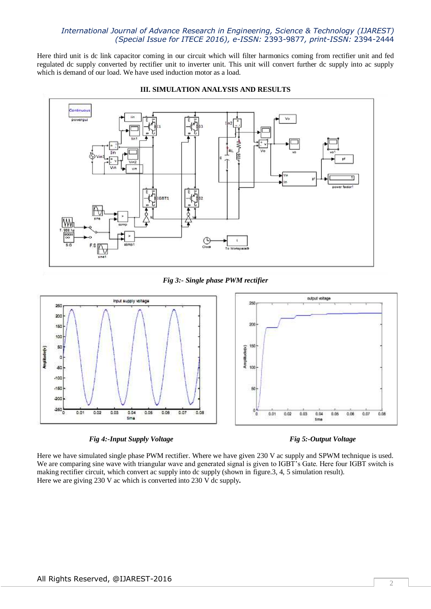## *International Journal of Advance Research in Engineering, Science & Technology (IJAREST) (Special Issue for ITECE 2016), e-ISSN:* 2393-9877*, print-ISSN:* 2394-2444

Here third unit is dc link capacitor coming in our circuit which will filter harmonics coming from rectifier unit and fed regulated dc supply converted by rectifier unit to inverter unit. This unit will convert further dc supply into ac supply which is demand of our load. We have used induction motor as a load.



### **III. SIMULATION ANALYSIS AND RESULTS**

*Fig 3:- Single phase PWM rectifier*



*Fig 4:-Input Supply Voltage* Fig 5:-Output Voltage Fig 5:-Output Voltage

Here we have simulated single phase PWM rectifier. Where we have given 230 V ac supply and SPWM technique is used. We are comparing sine wave with triangular wave and generated signal is given to IGBT's Gate. Here four IGBT switch is making rectifier circuit, which convert ac supply into dc supply (shown in figure.3, 4, 5 simulation result). Here we are giving 230 V ac which is converted into 230 V dc supply**.**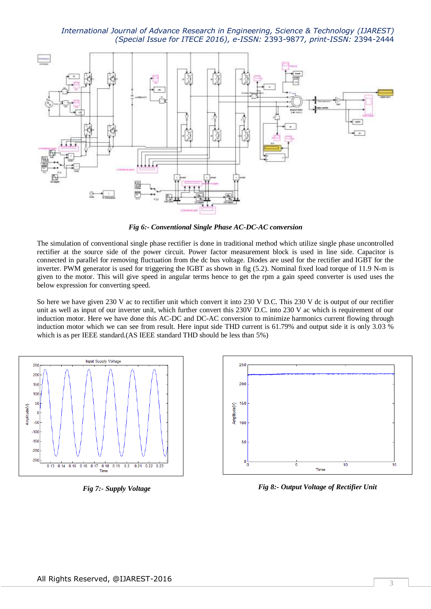## *International Journal of Advance Research in Engineering, Science & Technology (IJAREST) (Special Issue for ITECE 2016), e-ISSN:* 2393-9877*, print-ISSN:* 2394-2444



*Fig 6:- Conventional Single Phase AC-DC-AC conversion*

The simulation of conventional single phase rectifier is done in traditional method which utilize single phase uncontrolled rectifier at the source side of the power circuit. Power factor measurement block is used in line side. Capacitor is connected in parallel for removing fluctuation from the dc bus voltage. Diodes are used for the rectifier and IGBT for the inverter. PWM generator is used for triggering the IGBT as shown in fig (5.2). Nominal fixed load torque of 11.9 N-m is given to the motor. This will give speed in angular terms hence to get the rpm a gain speed converter is used uses the below expression for converting speed.

So here we have given 230 V ac to rectifier unit which convert it into 230 V D.C. This 230 V dc is output of our rectifier unit as well as input of our inverter unit, which further convert this 230V D.C. into 230 V ac which is requirement of our induction motor. Here we have done this AC-DC and DC-AC conversion to minimize harmonics current flowing through induction motor which we can see from result. Here input side THD current is 61.79% and output side it is only 3.03 % which is as per IEEE standard.(AS IEEE standard THD should be less than 5%)



*Fig 7:- Supply Voltage*



*Fig 8:- Output Voltage of Rectifier Unit*